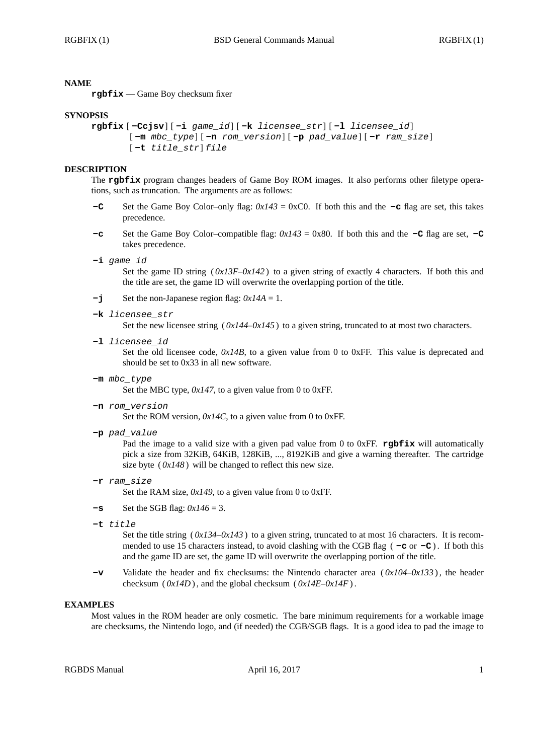## **NAME**

**rgbfix** — Game Boy checksum fixer

### **SYNOPSIS**

```
rgbfix [ -Ccjsv] [ -i game_id] [ -k licensee_str] [ -l licensee_id]
[ -m mbc_type] [ -n rom_version] [ -p pad_value] [ -r ram_size]
[ -t title_str] file
```
### **DESCRIPTION**

The **rgbfix** program changes headers of Game Boy ROM images. It also performs other filetype operations, such as truncation. The arguments are as follows:

- **-C** Set the Game Boy Color–only flag: *0x143* = 0xC0. If both this and the **-c** flag are set, this takes precedence.
- **-c** Set the Game Boy Color–compatible flag:  $0x143 = 0x80$ . If both this and the **-C** flag are set, **-C** takes precedence.
- **-i** *game\_id*

Set the game ID string  $(0x13F-0x142)$  to a given string of exactly 4 characters. If both this and the title are set, the game ID will overwrite the overlapping portion of the title.

- **-j** Set the non-Japanese region flag: *0x14A* = 1.
- **-k** *licensee\_str*

Set the new licensee string  $(0x144-0x145)$  to a given string, truncated to at most two characters.

**-l** *licensee\_id*

Set the old licensee code,  $0x14B$ , to a given value from 0 to 0xFF. This value is deprecated and should be set to 0x33 in all new software.

**-m** *mbc\_type*

Set the MBC type,  $0x147$ , to a given value from 0 to 0xFF.

**-n** *rom\_version*

Set the ROM version,  $0x/4C$ , to a given value from 0 to 0xFF.

**-p** *pad\_value*

Pad the image to a valid size with a given pad value from 0 to 0xFF. **rgbfix** will automatically pick a size from 32KiB, 64KiB, 128KiB, ..., 8192KiB and give a warning thereafter. The cartridge size byte  $(0x148)$  will be changed to reflect this new size.

**-r** *ram\_size*

Set the RAM size,  $0x149$ , to a given value from 0 to 0xFF.

- $-\mathbf{s}$  Set the SGB flag:  $0x/46 = 3$ .
- **-t** *title*

Set the title string  $(0x134-0x143)$  to a given string, truncated to at most 16 characters. It is recommended to use 15 characters instead, to avoid clashing with the CGB flag  $(-c)$  or  $-c$ ). If both this and the game ID are set, the game ID will overwrite the overlapping portion of the title.

**-v** Validate the header and fix checksums: the Nintendo character area ( *0x104*–*0x133* ) , the header checksum ( $0x14D$ ), and the global checksum ( $0x14E-0x14F$ ).

# **EXAMPLES**

Most values in the ROM header are only cosmetic. The bare minimum requirements for a workable image are checksums, the Nintendo logo, and (if needed) the CGB/SGB flags. It is a good idea to pad the image to